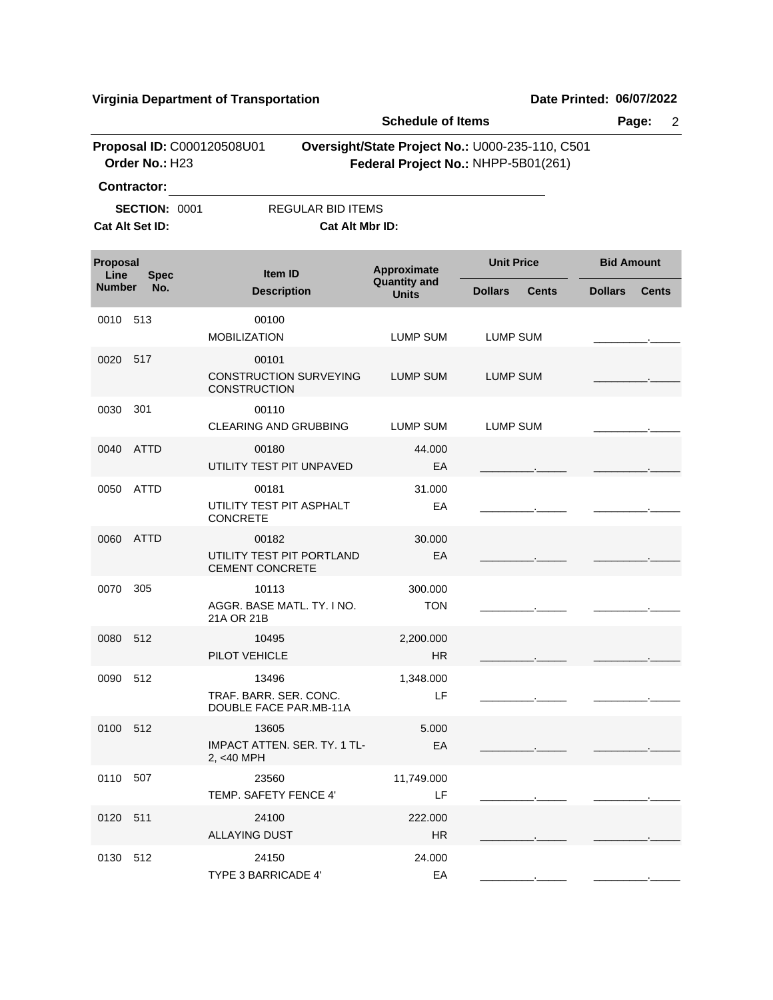|                  |                                              |                                                               | <b>Schedule of Items</b>            |                                                                                        |                                |  |  |
|------------------|----------------------------------------------|---------------------------------------------------------------|-------------------------------------|----------------------------------------------------------------------------------------|--------------------------------|--|--|
|                  | Proposal ID: C000120508U01<br>Order No.: H23 |                                                               |                                     | Oversight/State Project No.: U000-235-110, C501<br>Federal Project No.: NHPP-5B01(261) |                                |  |  |
|                  | <b>Contractor:</b>                           |                                                               |                                     |                                                                                        |                                |  |  |
|                  | <b>SECTION: 0001</b><br>Cat Alt Set ID:      | <b>REGULAR BID ITEMS</b><br>Cat Alt Mbr ID:                   |                                     |                                                                                        |                                |  |  |
|                  |                                              |                                                               |                                     |                                                                                        |                                |  |  |
| Proposal<br>Line | <b>Spec</b>                                  | <b>Item ID</b>                                                | Approximate                         | <b>Unit Price</b>                                                                      | <b>Bid Amount</b>              |  |  |
| <b>Number</b>    | No.                                          | <b>Description</b>                                            | <b>Quantity and</b><br><b>Units</b> | <b>Dollars</b><br><b>Cents</b>                                                         | <b>Dollars</b><br><b>Cents</b> |  |  |
| 0010             | 513                                          | 00100                                                         |                                     |                                                                                        |                                |  |  |
| 517<br>0020      | <b>MOBILIZATION</b>                          | LUMP SUM                                                      | <b>LUMP SUM</b>                     |                                                                                        |                                |  |  |
| 0030<br>301      |                                              | 00101<br><b>CONSTRUCTION SURVEYING</b><br><b>CONSTRUCTION</b> | LUMP SUM                            | <b>LUMP SUM</b>                                                                        |                                |  |  |
|                  |                                              | 00110<br>CLEARING AND GRUBBING                                | <b>LUMP SUM</b>                     | <b>LUMP SUM</b>                                                                        |                                |  |  |
| 0040             | <b>ATTD</b>                                  | 00180<br>UTILITY TEST PIT UNPAVED                             | 44.000<br>EA                        |                                                                                        |                                |  |  |
| 0050             | ATTD                                         | 00181<br>UTILITY TEST PIT ASPHALT<br>CONCRETE                 | 31.000<br>EA                        |                                                                                        |                                |  |  |
| 0060             | ATTD                                         | 00182<br>UTILITY TEST PIT PORTLAND<br><b>CEMENT CONCRETE</b>  | 30.000<br>EA                        |                                                                                        |                                |  |  |
| 0070             | 305                                          | 10113<br>AGGR. BASE MATL. TY. I NO.<br>21A OR 21B             | 300.000<br><b>TON</b>               |                                                                                        |                                |  |  |
| 0080             | 512                                          | 10495<br>PILOT VEHICLE                                        | 2,200.000<br><b>HR</b>              |                                                                                        |                                |  |  |
| 0090 512         |                                              | 13496<br>TRAF, BARR, SER, CONC.<br>DOUBLE FACE PAR.MB-11A     | 1,348.000<br>LF                     |                                                                                        |                                |  |  |
| 0100 512         |                                              | 13605<br>IMPACT ATTEN. SER. TY. 1 TL-<br>2, <40 MPH           | 5.000<br>EA                         |                                                                                        |                                |  |  |
| 0110 507         |                                              | 23560<br>TEMP. SAFETY FENCE 4'                                | 11,749.000<br>LF                    |                                                                                        |                                |  |  |
| 0120 511         |                                              | 24100<br><b>ALLAYING DUST</b>                                 | 222.000<br>HR.                      |                                                                                        |                                |  |  |
| 0130 512         |                                              | 24150<br>TYPE 3 BARRICADE 4'                                  | 24.000<br>EA                        |                                                                                        |                                |  |  |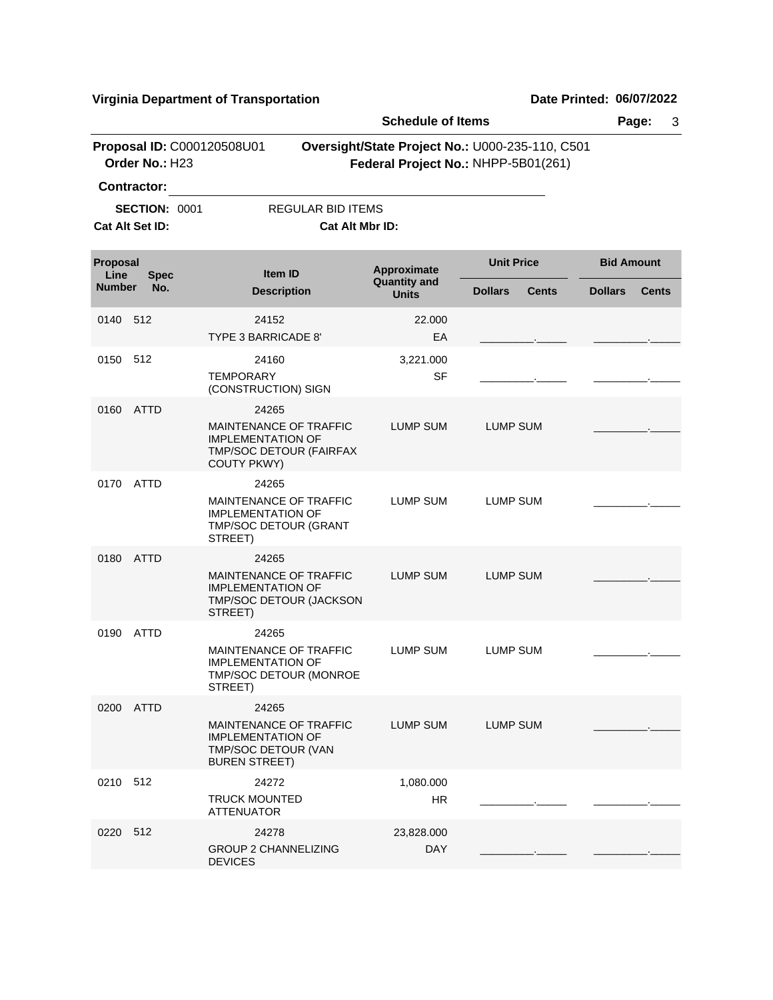|                  |                                         |                                                                                                                     | <b>Schedule of Items</b>           |                                                                                        | Page:             | 3            |
|------------------|-----------------------------------------|---------------------------------------------------------------------------------------------------------------------|------------------------------------|----------------------------------------------------------------------------------------|-------------------|--------------|
|                  | Order No.: H23                          | Proposal ID: C000120508U01                                                                                          |                                    | Oversight/State Project No.: U000-235-110, C501<br>Federal Project No.: NHPP-5B01(261) |                   |              |
|                  | Contractor:                             |                                                                                                                     |                                    |                                                                                        |                   |              |
|                  | <b>SECTION: 0001</b><br>Cat Alt Set ID: | <b>REGULAR BID ITEMS</b>                                                                                            | Cat Alt Mbr ID:                    |                                                                                        |                   |              |
| Proposal<br>Line | <b>Spec</b>                             | Item ID                                                                                                             | Approximate<br><b>Quantity and</b> | <b>Unit Price</b>                                                                      | <b>Bid Amount</b> |              |
| <b>Number</b>    | No.                                     | <b>Description</b>                                                                                                  | <b>Units</b>                       | <b>Dollars</b><br><b>Cents</b>                                                         | <b>Dollars</b>    | <b>Cents</b> |
| 0140             | 512                                     | 24152<br>TYPE 3 BARRICADE 8'                                                                                        | 22,000<br>EA                       |                                                                                        |                   |              |
| 0150             | 512                                     | 24160                                                                                                               | 3,221.000                          |                                                                                        |                   |              |
|                  |                                         | <b>TEMPORARY</b><br>(CONSTRUCTION) SIGN                                                                             | <b>SF</b>                          |                                                                                        |                   |              |
| 0160             | ATTD                                    | 24265<br><b>MAINTENANCE OF TRAFFIC</b><br><b>IMPLEMENTATION OF</b><br>TMP/SOC DETOUR (FAIRFAX<br><b>COUTY PKWY)</b> | LUMP SUM                           | LUMP SUM                                                                               |                   |              |
| 0170             | ATTD                                    | 24265<br>MAINTENANCE OF TRAFFIC<br><b>IMPLEMENTATION OF</b><br>TMP/SOC DETOUR (GRANT<br>STREET)                     | LUMP SUM                           | <b>LUMP SUM</b>                                                                        |                   |              |
| 0180             | ATTD                                    | 24265<br>MAINTENANCE OF TRAFFIC<br><b>IMPLEMENTATION OF</b><br>TMP/SOC DETOUR (JACKSON<br>STREET)                   | <b>LUMP SUM</b>                    | <b>LUMP SUM</b>                                                                        |                   |              |
| 0190             | <b>ATTD</b>                             | 24265<br><b>MAINTENANCE OF TRAFFIC</b><br><b>IMPLEMENTATION OF</b><br>TMP/SOC DETOUR (MONROE<br>STREET)             | <b>LUMP SUM</b>                    | LUMP SUM                                                                               |                   |              |
|                  | 0200 ATTD                               | 24265<br><b>MAINTENANCE OF TRAFFIC</b><br><b>IMPLEMENTATION OF</b><br>TMP/SOC DETOUR (VAN<br><b>BUREN STREET)</b>   | LUMP SUM                           | LUMP SUM                                                                               |                   |              |
| 0210 512         |                                         | 24272<br><b>TRUCK MOUNTED</b><br><b>ATTENUATOR</b>                                                                  | 1,080.000<br><b>HR</b>             |                                                                                        |                   |              |
| 0220 512         |                                         | 24278<br><b>GROUP 2 CHANNELIZING</b><br><b>DEVICES</b>                                                              | 23,828.000<br><b>DAY</b>           |                                                                                        |                   |              |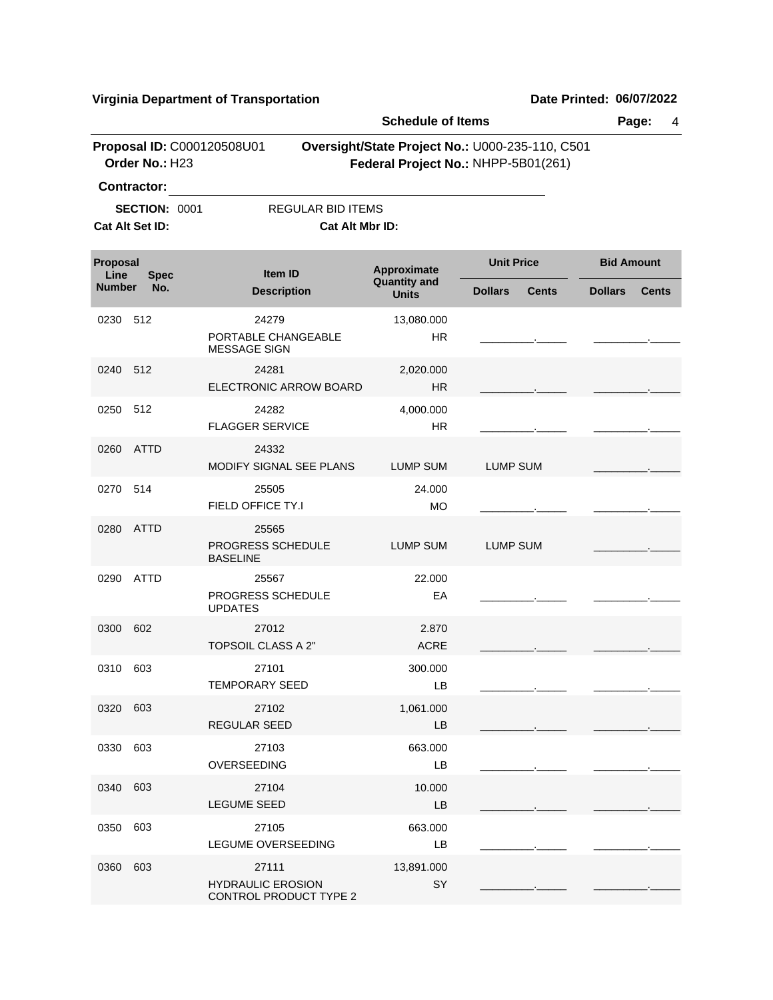|                       |                                                |                                                             |                          | <b>Schedule of Items</b>                                                               |                   |              |                   | Page:<br>4   |
|-----------------------|------------------------------------------------|-------------------------------------------------------------|--------------------------|----------------------------------------------------------------------------------------|-------------------|--------------|-------------------|--------------|
|                       | Order No.: H23<br><b>Contractor:</b>           | Proposal ID: C000120508U01                                  |                          | Oversight/State Project No.: U000-235-110, C501<br>Federal Project No.: NHPP-5B01(261) |                   |              |                   |              |
|                       | <b>SECTION: 0001</b>                           |                                                             | <b>REGULAR BID ITEMS</b> |                                                                                        |                   |              |                   |              |
|                       | Cat Alt Set ID:                                |                                                             | Cat Alt Mbr ID:          |                                                                                        |                   |              |                   |              |
| Proposal              |                                                |                                                             |                          |                                                                                        | <b>Unit Price</b> |              | <b>Bid Amount</b> |              |
| Line<br><b>Number</b> | <b>Spec</b><br>No.                             | Item ID<br><b>Description</b>                               |                          | Approximate<br><b>Quantity and</b><br><b>Units</b>                                     | <b>Dollars</b>    | <b>Cents</b> | <b>Dollars</b>    | <b>Cents</b> |
| 0230                  | 512                                            | 24279<br>PORTABLE CHANGEABLE<br><b>MESSAGE SIGN</b>         |                          | 13,080.000<br><b>HR</b>                                                                |                   |              |                   |              |
|                       |                                                | 24281                                                       | ELECTRONIC ARROW BOARD   | 2,020.000<br><b>HR</b>                                                                 |                   |              |                   |              |
| 0250                  | 0240 512<br>512<br>ATTD<br>0260<br>514<br>0270 | 24282<br><b>FLAGGER SERVICE</b>                             |                          | 4,000.000<br><b>HR</b>                                                                 |                   |              |                   |              |
|                       |                                                | 24332<br>MODIFY SIGNAL SEE PLANS                            |                          | <b>LUMP SUM</b>                                                                        | <b>LUMP SUM</b>   |              |                   |              |
|                       |                                                | 25505<br>FIELD OFFICE TY.I                                  |                          | 24.000<br><b>MO</b>                                                                    |                   |              |                   |              |
| 0280                  | <b>ATTD</b>                                    | 25565<br>PROGRESS SCHEDULE<br><b>BASELINE</b>               |                          | <b>LUMP SUM</b>                                                                        | <b>LUMP SUM</b>   |              |                   |              |
| 0290                  | ATTD                                           | 25567<br>PROGRESS SCHEDULE<br><b>UPDATES</b>                |                          | 22.000<br>EA                                                                           |                   |              |                   |              |
| 0300                  | 602                                            | 27012<br>TOPSOIL CLASS A 2"                                 |                          | 2.870<br><b>ACRE</b>                                                                   |                   |              |                   |              |
| 0310                  | 603                                            | 27101<br>TEMPORARY SEED                                     |                          | 300.000<br>LB                                                                          |                   |              |                   |              |
| 0320 603              |                                                | 27102<br>REGULAR SEED                                       |                          | 1,061.000<br>LB                                                                        |                   |              |                   |              |
| 0330                  | 603                                            | 27103<br>OVERSEEDING                                        |                          | 663.000<br>LB                                                                          |                   |              |                   |              |
| 0340                  | 603                                            | 27104<br><b>LEGUME SEED</b>                                 |                          | 10.000<br>LB                                                                           |                   |              |                   |              |
| 0350                  | 603                                            | 27105<br><b>LEGUME OVERSEEDING</b>                          |                          | 663.000<br>LB                                                                          |                   |              |                   |              |
| 0360                  | 603                                            | 27111<br><b>HYDRAULIC EROSION</b><br>CONTROL PRODUCT TYPE 2 |                          | 13,891.000<br>SY                                                                       |                   |              |                   |              |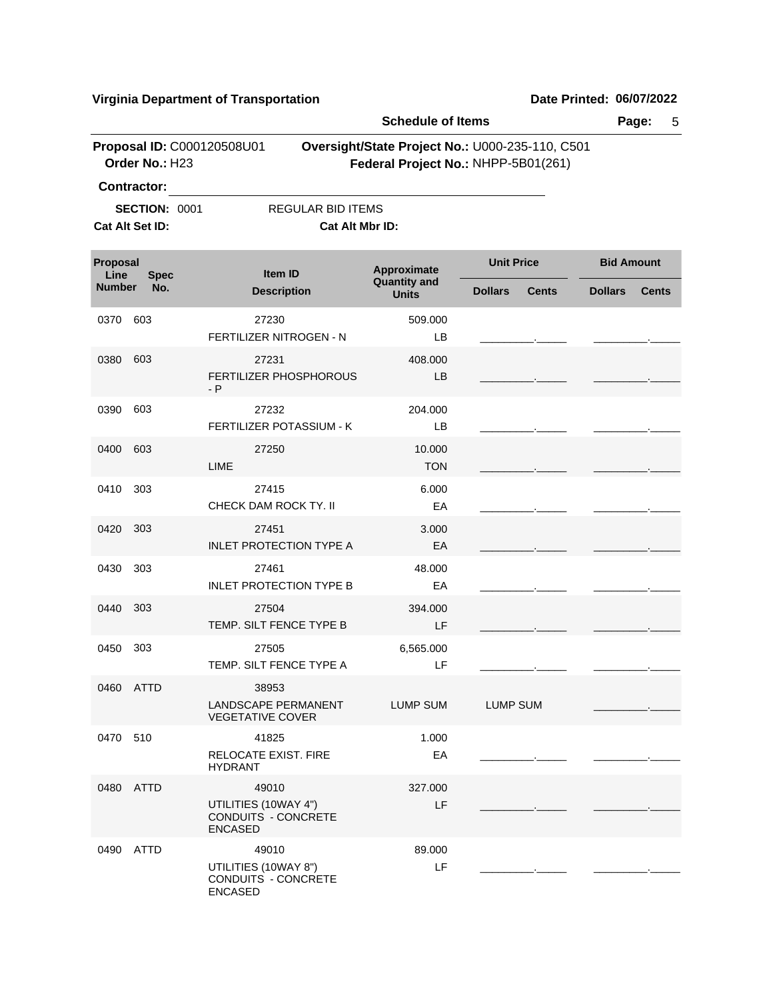|                  | Proposal ID: C000120508U01              |                                                                        | <b>Schedule of Items</b>            |                                                                                        |                                |  |  |  |
|------------------|-----------------------------------------|------------------------------------------------------------------------|-------------------------------------|----------------------------------------------------------------------------------------|--------------------------------|--|--|--|
|                  | Order No.: H23<br><b>Contractor:</b>    |                                                                        |                                     | Oversight/State Project No.: U000-235-110, C501<br>Federal Project No.: NHPP-5B01(261) |                                |  |  |  |
|                  | <b>SECTION: 0001</b><br>Cat Alt Set ID: | <b>REGULAR BID ITEMS</b><br>Cat Alt Mbr ID:                            |                                     |                                                                                        |                                |  |  |  |
| Proposal<br>Line | <b>Spec</b>                             | Item ID                                                                | Approximate                         | <b>Unit Price</b>                                                                      | <b>Bid Amount</b>              |  |  |  |
| <b>Number</b>    | No.                                     | <b>Description</b>                                                     | <b>Quantity and</b><br><b>Units</b> | <b>Dollars</b><br><b>Cents</b>                                                         | <b>Dollars</b><br><b>Cents</b> |  |  |  |
| 0370             | 603                                     | 27230<br>FERTILIZER NITROGEN - N                                       | 509.000<br>LВ                       |                                                                                        |                                |  |  |  |
| 0380             | 603                                     | 27231<br>FERTILIZER PHOSPHOROUS<br>- P                                 | 408.000<br>LB                       |                                                                                        |                                |  |  |  |
| 0390             | 603                                     | 27232<br><b>FERTILIZER POTASSIUM - K</b>                               | 204.000<br>LВ                       |                                                                                        |                                |  |  |  |
| 0400             | 603                                     | 27250<br>LIME                                                          | 10.000<br><b>TON</b>                |                                                                                        |                                |  |  |  |
| 0410             | 303                                     | 27415<br>CHECK DAM ROCK TY. II                                         | 6.000<br>EA                         |                                                                                        |                                |  |  |  |
| 0420             | 303                                     | 27451<br><b>INLET PROTECTION TYPE A</b>                                | 3.000<br>EA                         |                                                                                        |                                |  |  |  |
| 0430             | 303                                     | 27461<br><b>INLET PROTECTION TYPE B</b>                                | 48.000<br>EA                        |                                                                                        |                                |  |  |  |
| 0440             | 303                                     | 27504<br>TEMP. SILT FENCE TYPE B                                       | 394.000<br>LF                       |                                                                                        |                                |  |  |  |
| 0450             | 303                                     | 27505<br>TEMP. SILT FENCE TYPE A                                       | 6,565.000<br>LF                     |                                                                                        |                                |  |  |  |
|                  | 0460 ATTD                               | 38953<br>LANDSCAPE PERMANENT<br><b>VEGETATIVE COVER</b>                | LUMP SUM                            | LUMP SUM                                                                               |                                |  |  |  |
| 0470 510         |                                         | 41825<br><b>RELOCATE EXIST. FIRE</b><br><b>HYDRANT</b>                 | 1.000<br>EA                         |                                                                                        |                                |  |  |  |
|                  | 0480 ATTD                               | 49010<br>UTILITIES (10WAY 4")<br>CONDUITS - CONCRETE<br><b>ENCASED</b> | 327.000<br>LF                       |                                                                                        |                                |  |  |  |
|                  | 0490 ATTD                               | 49010<br>UTILITIES (10WAY 8")<br>CONDUITS - CONCRETE<br><b>ENCASED</b> | 89.000<br>LF                        |                                                                                        |                                |  |  |  |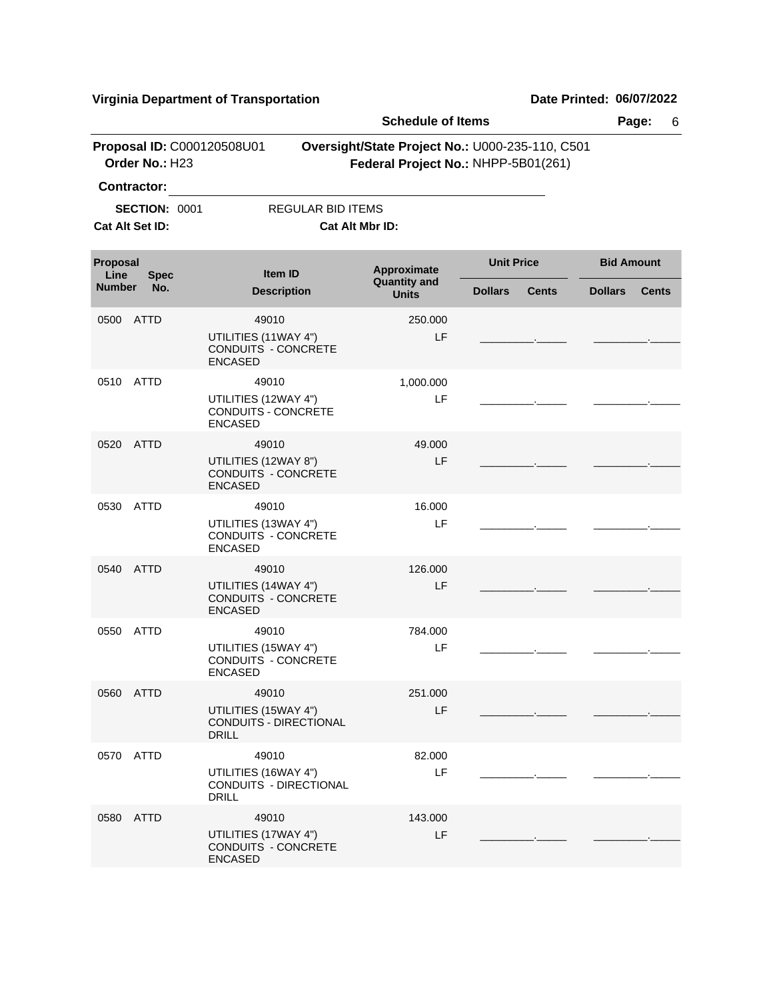|                         |                                              |                                                                | <b>Schedule of Items</b>                                                               |                   |              | Page:             | 6            |
|-------------------------|----------------------------------------------|----------------------------------------------------------------|----------------------------------------------------------------------------------------|-------------------|--------------|-------------------|--------------|
|                         | Proposal ID: C000120508U01<br>Order No.: H23 |                                                                | Oversight/State Project No.: U000-235-110, C501<br>Federal Project No.: NHPP-5B01(261) |                   |              |                   |              |
|                         | <b>Contractor:</b>                           |                                                                |                                                                                        |                   |              |                   |              |
|                         | <b>SECTION: 0001</b>                         | <b>REGULAR BID ITEMS</b>                                       |                                                                                        |                   |              |                   |              |
|                         | <b>Cat Alt Set ID:</b>                       |                                                                | Cat Alt Mbr ID:                                                                        |                   |              |                   |              |
| <b>Proposal</b><br>Line | <b>Spec</b>                                  | Item ID                                                        | Approximate                                                                            | <b>Unit Price</b> |              | <b>Bid Amount</b> |              |
| <b>Number</b>           | No.                                          | <b>Description</b>                                             | <b>Quantity and</b><br><b>Units</b>                                                    | <b>Dollars</b>    | <b>Cents</b> | <b>Dollars</b>    | <b>Cents</b> |
| 0500                    | ATTD                                         | 49010                                                          | 250.000                                                                                |                   |              |                   |              |
| 0510<br>ATTD            |                                              | UTILITIES (11WAY 4")<br>CONDUITS - CONCRETE<br><b>ENCASED</b>  | LF                                                                                     |                   |              |                   |              |
|                         |                                              | 49010<br>UTILITIES (12WAY 4")                                  | 1,000.000<br>LF                                                                        |                   |              |                   |              |
|                         |                                              | CONDUITS - CONCRETE<br><b>ENCASED</b>                          |                                                                                        |                   |              |                   |              |
| 0520                    | ATTD                                         | 49010                                                          | 49,000                                                                                 |                   |              |                   |              |
|                         |                                              | UTILITIES (12WAY 8")<br>CONDUITS - CONCRETE<br><b>ENCASED</b>  | LF                                                                                     |                   |              |                   |              |
| 0530                    | ATTD                                         | 49010                                                          | 16.000                                                                                 |                   |              |                   |              |
|                         |                                              | UTILITIES (13WAY 4")<br>CONDUITS - CONCRETE<br><b>ENCASED</b>  | LF                                                                                     |                   |              |                   |              |
| 0540                    | ATTD                                         | 49010                                                          | 126,000                                                                                |                   |              |                   |              |
|                         |                                              | UTILITIES (14WAY 4")<br>CONDUITS - CONCRETE<br><b>ENCASED</b>  | LF                                                                                     |                   |              |                   |              |
| 0550                    | ATTD                                         | 49010                                                          | 784.000                                                                                |                   |              |                   |              |
|                         |                                              | UTILITIES (15WAY 4")<br><b>CONDUITS - CONCRETE</b><br>ENCASED  | LF                                                                                     |                   |              |                   |              |
|                         | 0560 ATTD                                    | 49010                                                          | 251.000                                                                                |                   |              |                   |              |
|                         |                                              | UTILITIES (15WAY 4")<br>CONDUITS - DIRECTIONAL<br><b>DRILL</b> | LF                                                                                     |                   |              |                   |              |
|                         | 0570 ATTD                                    | 49010                                                          | 82.000                                                                                 |                   |              |                   |              |
|                         |                                              | UTILITIES (16WAY 4")<br>CONDUITS - DIRECTIONAL<br><b>DRILL</b> | LF                                                                                     |                   |              |                   |              |
|                         | 0580 ATTD                                    | 49010                                                          | 143.000                                                                                |                   |              |                   |              |
|                         |                                              | UTILITIES (17WAY 4")<br>CONDUITS - CONCRETE<br><b>ENCASED</b>  | LF                                                                                     |                   |              |                   |              |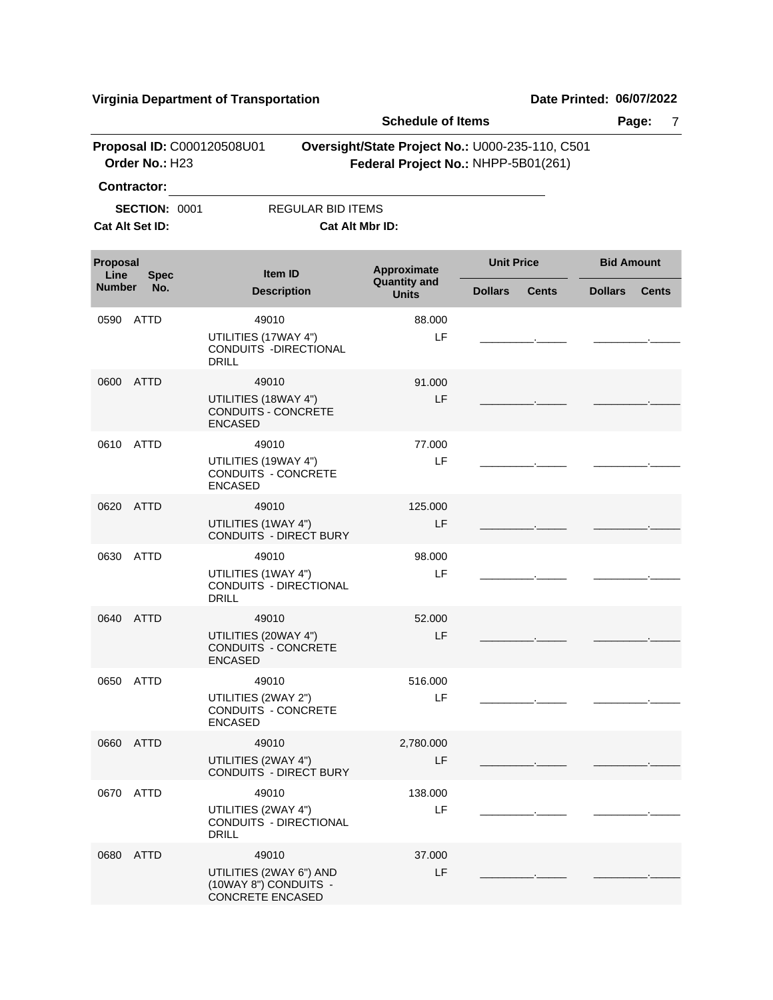|                         |                                         |                                        |                                                           | <b>Schedule of Items</b>                                                               |                         |              |                   | Page:<br>7   |
|-------------------------|-----------------------------------------|----------------------------------------|-----------------------------------------------------------|----------------------------------------------------------------------------------------|-------------------------|--------------|-------------------|--------------|
|                         | Order No.: H23<br>Contractor:           | Proposal ID: C000120508U01             |                                                           | Oversight/State Project No.: U000-235-110, C501<br>Federal Project No.: NHPP-5B01(261) |                         |              |                   |              |
|                         | <b>SECTION: 0001</b><br>Cat Alt Set ID: |                                        | <b>REGULAR BID ITEMS</b>                                  | Cat Alt Mbr ID:                                                                        |                         |              |                   |              |
| <b>Proposal</b><br>Line | <b>Spec</b>                             |                                        | <b>Item ID</b>                                            | Approximate                                                                            | <b>Unit Price</b>       |              | <b>Bid Amount</b> |              |
| <b>Number</b>           | No.                                     |                                        | <b>Description</b>                                        | <b>Quantity and</b><br><b>Units</b>                                                    | <b>Dollars</b>          | <b>Cents</b> | <b>Dollars</b>    | <b>Cents</b> |
| 0590                    | ATTD                                    | UTILITIES (17WAY 4")<br><b>DRILL</b>   | 49010<br>CONDUITS - DIRECTIONAL                           | 88.000<br>LF                                                                           |                         |              |                   |              |
|                         | 0600 ATTD                               | UTILITIES (18WAY 4")<br><b>ENCASED</b> | 49010<br>CONDUITS - CONCRETE                              | 91.000<br>LF                                                                           |                         |              |                   |              |
|                         | 0610 ATTD                               | UTILITIES (19WAY 4")<br><b>ENCASED</b> | 49010<br>CONDUITS - CONCRETE                              | 77.000<br>LF                                                                           |                         |              |                   |              |
| 0620                    | ATTD                                    | UTILITIES (1WAY 4")                    | 49010<br><b>CONDUITS - DIRECT BURY</b>                    | 125.000<br>LF                                                                          | the control of the con- |              |                   |              |
| 0630                    | <b>ATTD</b>                             | UTILITIES (1WAY 4")<br><b>DRILL</b>    | 49010<br>CONDUITS - DIRECTIONAL                           | 98.000<br>LF                                                                           |                         |              |                   |              |
|                         | 0640 ATTD                               | UTILITIES (20WAY 4")<br><b>ENCASED</b> | 49010<br>CONDUITS - CONCRETE                              | 52.000<br>LF                                                                           |                         |              |                   |              |
|                         | 0650 ATTD                               | UTILITIES (2WAY 2")<br><b>ENCASED</b>  | 49010<br>CONDUITS - CONCRETE                              | 516.000<br>LF                                                                          |                         |              |                   |              |
|                         | 0660 ATTD                               | UTILITIES (2WAY 4")                    | 49010<br><b>CONDUITS - DIRECT BURY</b>                    | 2,780.000<br>LF                                                                        |                         |              |                   |              |
|                         | 0670 ATTD                               | UTILITIES (2WAY 4")<br><b>DRILL</b>    | 49010<br>CONDUITS - DIRECTIONAL                           | 138.000<br>LF                                                                          |                         |              |                   |              |
|                         | 0680 ATTD                               | <b>CONCRETE ENCASED</b>                | 49010<br>UTILITIES (2WAY 6") AND<br>(10WAY 8") CONDUITS - | 37.000<br>LF                                                                           |                         |              |                   |              |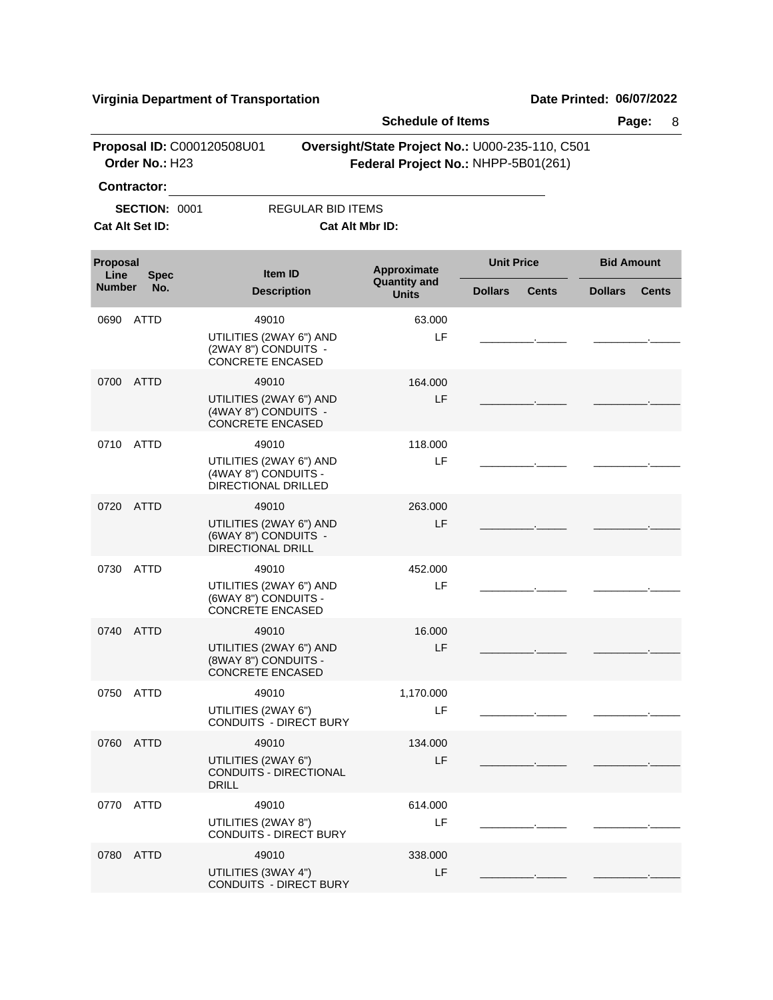|                  | Proposal ID: C000120508U01              |                                                           |                                        | <b>Schedule of Items</b>                                                               |                   |              | Page:<br>8        |              |  |
|------------------|-----------------------------------------|-----------------------------------------------------------|----------------------------------------|----------------------------------------------------------------------------------------|-------------------|--------------|-------------------|--------------|--|
|                  | Order No.: H23<br>Contractor:           |                                                           |                                        | Oversight/State Project No.: U000-235-110, C501<br>Federal Project No.: NHPP-5B01(261) |                   |              |                   |              |  |
|                  | <b>SECTION: 0001</b><br>Cat Alt Set ID: |                                                           | <b>REGULAR BID ITEMS</b>               | Cat Alt Mbr ID:                                                                        |                   |              |                   |              |  |
| Proposal<br>Line | <b>Spec</b>                             |                                                           | Item ID                                | Approximate                                                                            | <b>Unit Price</b> |              | <b>Bid Amount</b> |              |  |
| <b>Number</b>    | No.                                     |                                                           | <b>Description</b>                     | <b>Quantity and</b><br><b>Units</b>                                                    | <b>Dollars</b>    | <b>Cents</b> | <b>Dollars</b>    | <b>Cents</b> |  |
| 0690             | ATTD                                    | 49010<br>(2WAY 8") CONDUITS -<br><b>CONCRETE ENCASED</b>  | UTILITIES (2WAY 6") AND                | 63.000<br>LF                                                                           |                   |              |                   |              |  |
| 0700             | ATTD                                    | 49010<br>(4WAY 8") CONDUITS -<br><b>CONCRETE ENCASED</b>  | UTILITIES (2WAY 6") AND                | 164.000<br>LF                                                                          |                   |              |                   |              |  |
| 0710             | ATTD                                    | 49010<br>(4WAY 8") CONDUITS -<br>DIRECTIONAL DRILLED      | UTILITIES (2WAY 6") AND                | 118.000<br>LF                                                                          |                   |              |                   |              |  |
| 0720             | <b>ATTD</b>                             | 49010<br>(6WAY 8") CONDUITS -<br><b>DIRECTIONAL DRILL</b> | UTILITIES (2WAY 6") AND                | 263.000<br>LF                                                                          |                   |              |                   |              |  |
| 0730             | <b>ATTD</b>                             | 49010<br>(6WAY 8") CONDUITS -<br><b>CONCRETE ENCASED</b>  | UTILITIES (2WAY 6") AND                | 452,000<br>LF                                                                          |                   |              |                   |              |  |
| 0740             | ATTD                                    | 49010<br>(8WAY 8") CONDUITS -<br><b>CONCRETE ENCASED</b>  | UTILITIES (2WAY 6") AND                | 16.000<br>LF                                                                           |                   |              |                   |              |  |
|                  | 0750 ATTD                               | 49010<br>UTILITIES (2WAY 6")                              | <b>CONDUITS - DIRECT BURY</b>          | 1,170.000<br>LF                                                                        |                   |              |                   |              |  |
| 0760             | ATTD                                    | 49010<br>UTILITIES (2WAY 6")<br><b>DRILL</b>              | CONDUITS - DIRECTIONAL                 | 134.000<br>LF                                                                          |                   |              |                   |              |  |
|                  | 0770 ATTD                               | 49010<br>UTILITIES (2WAY 8")                              | <b>CONDUITS - DIRECT BURY</b>          | 614.000<br>LF                                                                          |                   |              |                   |              |  |
|                  | 0780 ATTD                               | UTILITIES (3WAY 4")                                       | 49010<br><b>CONDUITS - DIRECT BURY</b> | 338.000<br>LF                                                                          |                   |              |                   |              |  |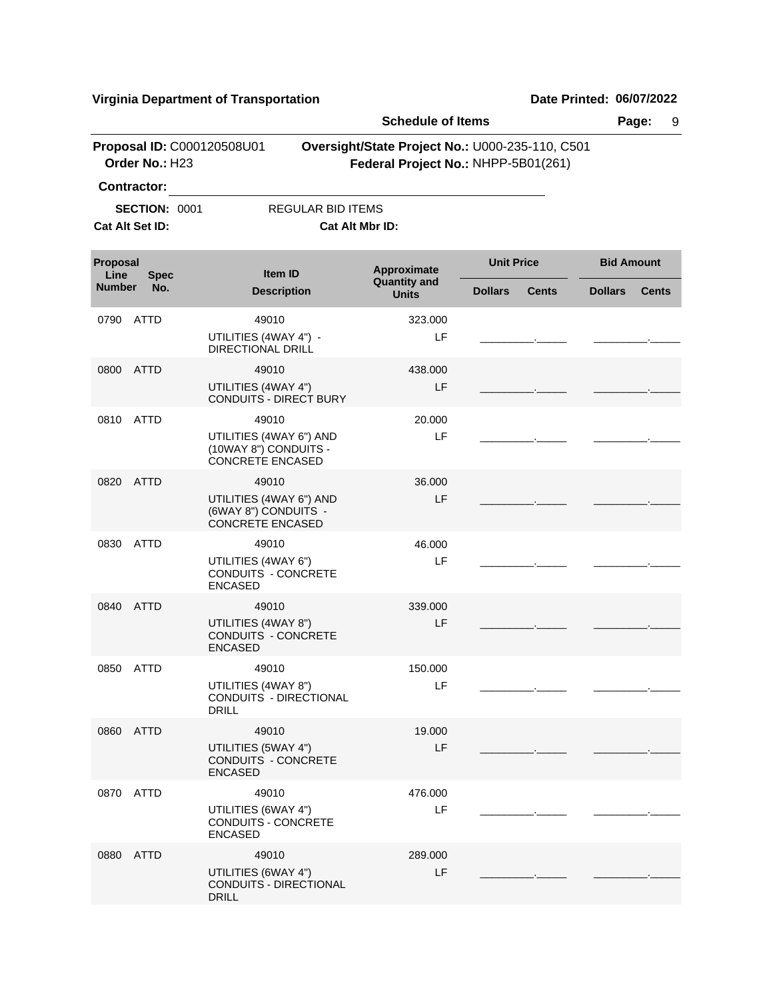|                  |                                                        |                                                                                      | <b>Schedule of Items</b>                                                               |                   |              |                   | Page:<br>9   |
|------------------|--------------------------------------------------------|--------------------------------------------------------------------------------------|----------------------------------------------------------------------------------------|-------------------|--------------|-------------------|--------------|
|                  | Proposal ID: C000120508U01<br>Order No.: H23           |                                                                                      | Oversight/State Project No.: U000-235-110, C501<br>Federal Project No.: NHPP-5B01(261) |                   |              |                   |              |
|                  | Contractor:<br><b>SECTION: 0001</b><br>Cat Alt Set ID: | REGULAR BID ITEMS                                                                    | Cat Alt Mbr ID:                                                                        |                   |              |                   |              |
| Proposal<br>Line | <b>Spec</b>                                            | Item ID                                                                              | Approximate                                                                            | <b>Unit Price</b> |              | <b>Bid Amount</b> |              |
| <b>Number</b>    | No.                                                    | <b>Description</b>                                                                   | <b>Quantity and</b><br><b>Units</b>                                                    | <b>Dollars</b>    | <b>Cents</b> | <b>Dollars</b>    | <b>Cents</b> |
| 0790             | ATTD                                                   | 49010<br>UTILITIES (4WAY 4") -<br>DIRECTIONAL DRILL                                  | 323.000<br>LF                                                                          |                   |              |                   |              |
| 0800             | ATTD                                                   | 49010<br>UTILITIES (4WAY 4")<br><b>CONDUITS - DIRECT BURY</b>                        | 438.000<br>LF                                                                          |                   |              |                   |              |
|                  | 0810 ATTD                                              | 49010<br>UTILITIES (4WAY 6") AND<br>(10WAY 8") CONDUITS -<br><b>CONCRETE ENCASED</b> | 20,000<br>LF                                                                           |                   |              |                   |              |
| 0820             | ATTD                                                   | 49010<br>UTILITIES (4WAY 6") AND<br>(6WAY 8") CONDUITS -<br><b>CONCRETE ENCASED</b>  | 36,000<br>LF                                                                           |                   |              |                   |              |
| 0830             | ATTD                                                   | 49010<br>UTILITIES (4WAY 6")<br>CONDUITS - CONCRETE<br><b>ENCASED</b>                | 46.000<br>LF                                                                           |                   |              |                   |              |
|                  | 0840 ATTD                                              | 49010<br>UTILITIES (4WAY 8")<br><b>CONDUITS - CONCRETE</b><br><b>ENCASED</b>         | 339.000<br>LF                                                                          |                   |              |                   |              |
| 0850             | ATTD                                                   | 49010<br>UTILITIES (4WAY 8")<br>CONDUITS - DIRECTIONAL<br><b>DRILL</b>               | 150.000<br>LF                                                                          |                   |              |                   |              |
|                  | 0860 ATTD                                              | 49010<br>UTILITIES (5WAY 4")<br>CONDUITS - CONCRETE<br><b>ENCASED</b>                | 19.000<br>LF                                                                           |                   |              |                   |              |
|                  | 0870 ATTD                                              | 49010<br>UTILITIES (6WAY 4")<br>CONDUITS - CONCRETE<br><b>ENCASED</b>                | 476.000<br>LF                                                                          |                   |              |                   |              |
|                  | 0880 ATTD                                              | 49010<br>UTILITIES (6WAY 4")<br>CONDUITS - DIRECTIONAL<br><b>DRILL</b>               | 289.000<br>LF                                                                          |                   |              |                   |              |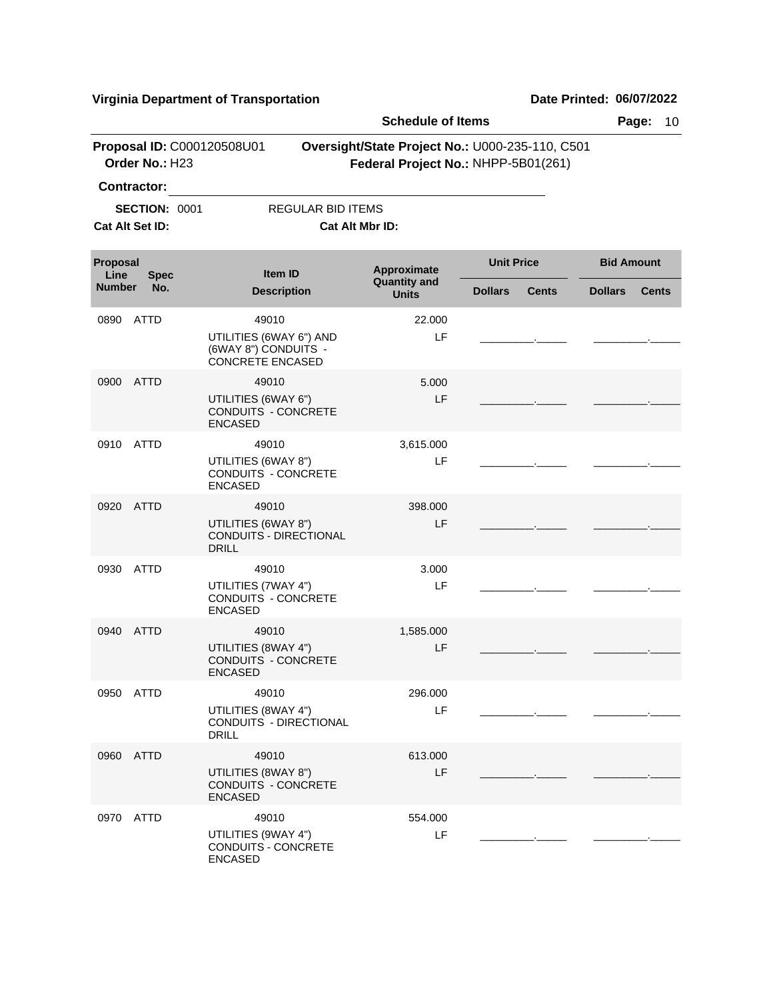|                  |                                              |                                                                            | <b>Schedule of Items</b>                                                               |                   |              |                   | Page:<br>10  |
|------------------|----------------------------------------------|----------------------------------------------------------------------------|----------------------------------------------------------------------------------------|-------------------|--------------|-------------------|--------------|
|                  | Proposal ID: C000120508U01<br>Order No.: H23 |                                                                            | Oversight/State Project No.: U000-235-110, C501<br>Federal Project No.: NHPP-5B01(261) |                   |              |                   |              |
|                  | Contractor:                                  |                                                                            |                                                                                        |                   |              |                   |              |
|                  | <b>SECTION: 0001</b>                         | <b>REGULAR BID ITEMS</b>                                                   |                                                                                        |                   |              |                   |              |
|                  | Cat Alt Set ID:                              |                                                                            | Cat Alt Mbr ID:                                                                        |                   |              |                   |              |
| Proposal<br>Line | <b>Spec</b>                                  | <b>Item ID</b>                                                             | Approximate<br><b>Quantity and</b>                                                     | <b>Unit Price</b> |              | <b>Bid Amount</b> |              |
| <b>Number</b>    | No.                                          | <b>Description</b>                                                         | <b>Units</b>                                                                           | <b>Dollars</b>    | <b>Cents</b> | <b>Dollars</b>    | <b>Cents</b> |
| 0890             | ATTD                                         | 49010                                                                      | 22,000                                                                                 |                   |              |                   |              |
|                  |                                              | UTILITIES (6WAY 6") AND<br>(6WAY 8") CONDUITS -<br><b>CONCRETE ENCASED</b> | LF                                                                                     |                   |              |                   |              |
| 0900             | ATTD                                         | 49010                                                                      | 5.000                                                                                  |                   |              |                   |              |
|                  |                                              | UTILITIES (6WAY 6")<br>CONDUITS - CONCRETE<br><b>ENCASED</b>               | LF                                                                                     |                   |              |                   |              |
| 0910             | ATTD                                         | 49010                                                                      | 3,615.000                                                                              |                   |              |                   |              |
|                  |                                              | UTILITIES (6WAY 8")<br>CONDUITS - CONCRETE<br><b>ENCASED</b>               | LF                                                                                     |                   |              |                   |              |
| 0920             | ATTD                                         | 49010                                                                      | 398.000                                                                                |                   |              |                   |              |
|                  |                                              | UTILITIES (6WAY 8")<br><b>CONDUITS - DIRECTIONAL</b><br><b>DRILL</b>       | LF                                                                                     |                   |              |                   |              |
| 0930             | ATTD                                         | 49010                                                                      | 3.000                                                                                  |                   |              |                   |              |
|                  |                                              | UTILITIES (7WAY 4")<br>CONDUITS - CONCRETE<br><b>ENCASED</b>               | LF                                                                                     |                   |              |                   |              |
| 0940             | <b>ATTD</b>                                  | 49010                                                                      | 1,585.000                                                                              |                   |              |                   |              |
|                  |                                              | UTILITIES (8WAY 4")<br><b>CONDUITS - CONCRETE</b><br><b>ENCASED</b>        | LF                                                                                     |                   |              |                   |              |
| 0950 ATTD        |                                              | 49010                                                                      | 296.000                                                                                |                   |              |                   |              |
|                  |                                              | UTILITIES (8WAY 4")<br>CONDUITS - DIRECTIONAL<br><b>DRILL</b>              | LF                                                                                     |                   |              |                   |              |
| 0960 ATTD        |                                              | 49010                                                                      | 613.000                                                                                |                   |              |                   |              |
|                  |                                              | UTILITIES (8WAY 8")<br>CONDUITS - CONCRETE<br><b>ENCASED</b>               | LF                                                                                     |                   |              |                   |              |
| 0970 ATTD        |                                              | 49010                                                                      | 554.000                                                                                |                   |              |                   |              |
|                  |                                              | UTILITIES (9WAY 4")<br>CONDUITS - CONCRETE<br><b>ENCASED</b>               | LF                                                                                     |                   |              |                   |              |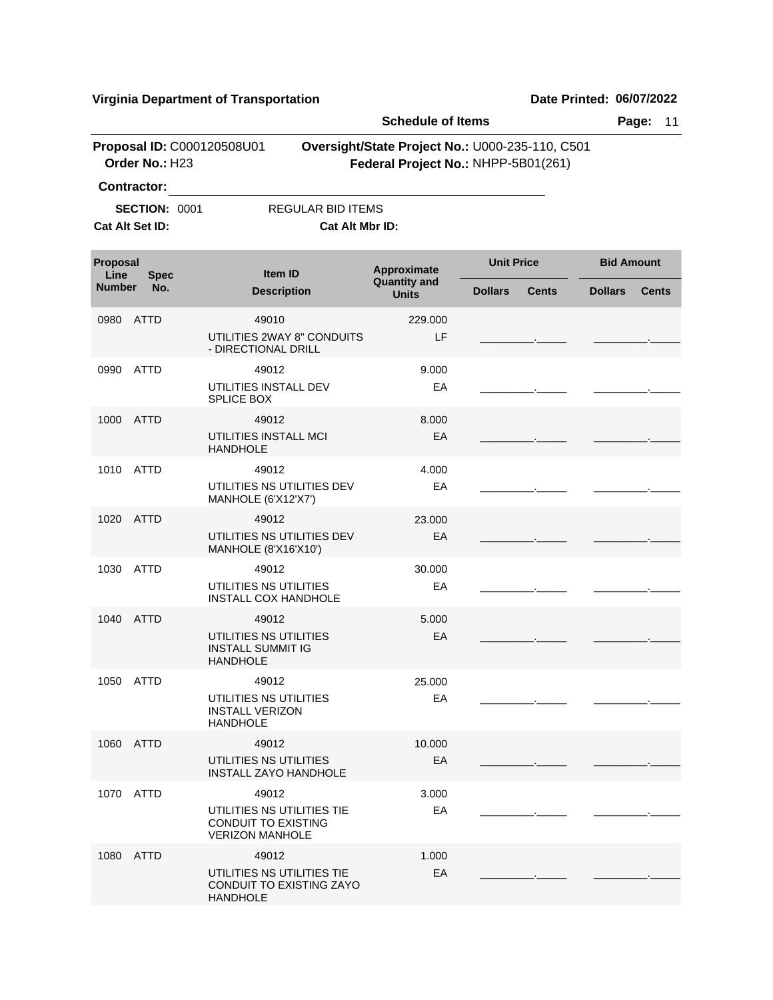**Schedule of Items Page:** 11 **Proposal ID:** C000120508U01 **Oversight/State Project No.:** U000-235-110, C501 **Order No.:** H23 **Federal Project No.:** NHPP-5B01(261) **Contractor: SECTION: 0001 REGULAR BID ITEMS Cat Alt Set ID: Cat Alt Mbr ID: Approximate Unit Price Bid Amount**<br>Quantity and **All Contract Contract Contract Contract Contract Contract Contract Contract Contract Contract Contract Contract Contract Contract Contract Contract Contract Contract Cont Quantity and Description Units Item ID Proposal Line**<br>**Number Number Dollars Cents Dollars Cents Spec No.** 0980 49010 ATTD UTILITIES 2WAY 8" CONDUITS - DIRECTIONAL DRILL LF 229.000 \_\_\_\_\_\_\_\_\_.\_\_\_\_\_ \_\_\_\_\_\_\_\_\_.\_\_\_\_\_ 0990 49012 ATTD UTILITIES INSTALL DEV SPLICE BOX EA 9.000 \_\_\_\_\_\_\_\_\_.\_\_\_\_\_ \_\_\_\_\_\_\_\_\_.\_\_\_\_\_ 1000 49012 ATTD UTILITIES INSTALL MCI HANDHOLE EA 8.000 \_\_\_\_\_\_\_\_\_.\_\_\_\_\_ \_\_\_\_\_\_\_\_\_.\_\_\_\_\_ 1010 49012 ATTD UTILITIES NS UTILITIES DEV MANHOLE (6'X12'X7') EA 4.000 \_\_\_\_\_\_\_\_\_.\_\_\_\_\_ \_\_\_\_\_\_\_\_\_.\_\_\_\_\_ 1020 49012 ATTD UTILITIES NS UTILITIES DEV MANHOLE (8'X16'X10') EA 23.000 \_\_\_\_\_\_\_\_\_.\_\_\_\_\_ \_\_\_\_\_\_\_\_\_.\_\_\_\_\_ 1030 49012 ATTD UTILITIES NS UTILITIES INSTALL COX HANDHOLE EA 30.000 \_\_\_\_\_\_\_\_\_.\_\_\_\_\_ \_\_\_\_\_\_\_\_\_.\_\_\_\_\_ 1040 49012 ATTD UTILITIES NS UTILITIES INSTALL SUMMIT IG HANDHOLE EA 5.000 \_\_\_\_\_\_\_\_\_.\_\_\_\_\_ \_\_\_\_\_\_\_\_\_.\_\_\_\_\_ 1050 49012 ATTD UTILITIES NS UTILITIES INSTALL VERIZON HANDHOLE EA 25.000 \_\_\_\_\_\_\_\_\_.\_\_\_\_\_ \_\_\_\_\_\_\_\_\_.\_\_\_\_\_ 1060 49012 ATTD UTILITIES NS UTILITIES INSTALL ZAYO HANDHOLE EA 10.000 \_\_\_\_\_\_\_\_\_.\_\_\_\_\_ \_\_\_\_\_\_\_\_\_.\_\_\_\_\_ 1070 49012 ATTD UTILITIES NS UTILITIES TIE CONDUIT TO EXISTING VERIZON MANHOLE EA 3.000 \_\_\_\_\_\_\_\_\_.\_\_\_\_\_ \_\_\_\_\_\_\_\_\_.\_\_\_\_\_ 1080 49012 ATTDUTILITIES NS UTILITIES TIE CONDUIT TO EXISTING ZAYO **HANDHOLE** EA 1.000 \_\_\_\_\_\_\_\_\_.\_\_\_\_\_ \_\_\_\_\_\_\_\_\_.\_\_\_\_\_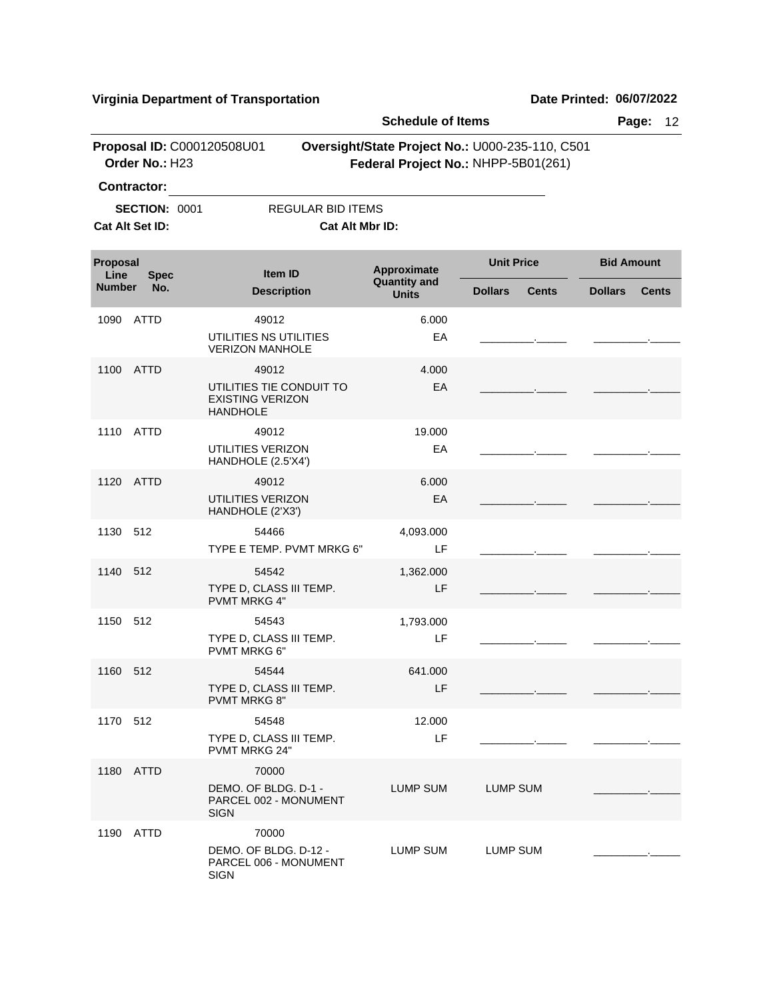|                                                                                                                                                      | Proposal ID: C000120508U01<br>Order No.: H23 |                                                                        | <b>Schedule of Items</b>            |                                                                                        | Page:<br>12                    |
|------------------------------------------------------------------------------------------------------------------------------------------------------|----------------------------------------------|------------------------------------------------------------------------|-------------------------------------|----------------------------------------------------------------------------------------|--------------------------------|
|                                                                                                                                                      |                                              |                                                                        |                                     | Oversight/State Project No.: U000-235-110, C501<br>Federal Project No.: NHPP-5B01(261) |                                |
|                                                                                                                                                      |                                              |                                                                        |                                     |                                                                                        |                                |
|                                                                                                                                                      | <b>SECTION: 0001</b>                         | <b>REGULAR BID ITEMS</b>                                               |                                     |                                                                                        |                                |
|                                                                                                                                                      |                                              | Cat Alt Mbr ID:                                                        |                                     |                                                                                        |                                |
|                                                                                                                                                      | <b>Spec</b>                                  | <b>Item ID</b>                                                         | Approximate                         | <b>Unit Price</b>                                                                      | <b>Bid Amount</b>              |
|                                                                                                                                                      | No.                                          | <b>Description</b>                                                     | <b>Quantity and</b><br><b>Units</b> | <b>Dollars</b><br><b>Cents</b>                                                         | <b>Dollars</b><br><b>Cents</b> |
| 1090                                                                                                                                                 | ATTD                                         | 49012                                                                  | 6.000                               |                                                                                        |                                |
|                                                                                                                                                      |                                              | UTILITIES NS UTILITIES<br><b>VERIZON MANHOLE</b>                       | EA                                  |                                                                                        |                                |
| 1100                                                                                                                                                 |                                              | 49012                                                                  | 4.000                               |                                                                                        |                                |
|                                                                                                                                                      |                                              | UTILITIES TIE CONDUIT TO<br><b>EXISTING VERIZON</b><br><b>HANDHOLE</b> | EA                                  |                                                                                        |                                |
|                                                                                                                                                      |                                              | 49012                                                                  | 19.000                              |                                                                                        |                                |
|                                                                                                                                                      |                                              | UTILITIES VERIZON<br>HANDHOLE (2.5'X4')                                | EA                                  |                                                                                        |                                |
|                                                                                                                                                      |                                              | 49012                                                                  | 6.000                               |                                                                                        |                                |
|                                                                                                                                                      |                                              | UTILITIES VERIZON<br>HANDHOLE (2'X3')                                  | EA                                  |                                                                                        |                                |
| 1130                                                                                                                                                 |                                              | 54466<br>TYPE E TEMP. PVMT MRKG 6"                                     | 4,093.000<br>LF                     |                                                                                        |                                |
|                                                                                                                                                      |                                              | 54542                                                                  | 1,362.000                           |                                                                                        |                                |
|                                                                                                                                                      |                                              | TYPE D, CLASS III TEMP.<br><b>PVMT MRKG 4"</b>                         | <b>LF</b>                           |                                                                                        |                                |
|                                                                                                                                                      |                                              | 54543                                                                  | 1,793.000                           |                                                                                        |                                |
|                                                                                                                                                      |                                              | TYPE D, CLASS III TEMP.<br>PVMT MRKG 6"                                | LF                                  |                                                                                        |                                |
|                                                                                                                                                      |                                              | 54544                                                                  | 641.000                             |                                                                                        |                                |
| Proposal<br>Line<br><b>Number</b><br>ATTD<br>1110 ATTD<br>1120 ATTD<br>512<br>1140 512<br>1150 512<br>1160 512<br>1170 512<br>1180 ATTD<br>1190 ATTD |                                              | TYPE D, CLASS III TEMP.<br><b>PVMT MRKG 8"</b>                         | LF                                  |                                                                                        |                                |
|                                                                                                                                                      |                                              | 54548                                                                  | 12.000                              |                                                                                        |                                |
|                                                                                                                                                      | <b>SIGN</b><br><b>SIGN</b>                   | TYPE D, CLASS III TEMP.<br>PVMT MRKG 24"                               | LF                                  |                                                                                        |                                |
| <b>Contractor:</b><br>Cat Alt Set ID:                                                                                                                |                                              | 70000                                                                  |                                     |                                                                                        |                                |
|                                                                                                                                                      |                                              | DEMO. OF BLDG. D-1 -<br>PARCEL 002 - MONUMENT                          | LUMP SUM                            | <b>LUMP SUM</b>                                                                        |                                |
|                                                                                                                                                      |                                              | 70000                                                                  |                                     |                                                                                        |                                |
|                                                                                                                                                      |                                              | DEMO. OF BLDG. D-12 -<br>PARCEL 006 - MONUMENT                         | LUMP SUM                            | <b>LUMP SUM</b>                                                                        |                                |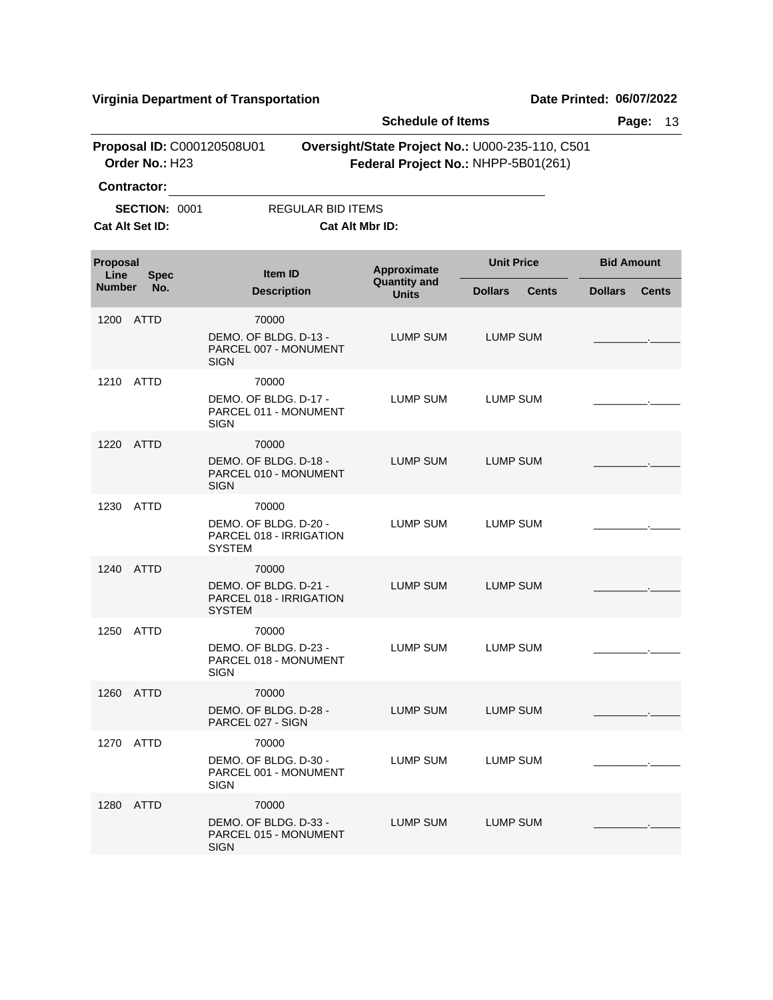|              |                       |                                         |                                                                            |                          | <b>Schedule of Items</b>                                                               |                   |              | Page:             |              | 13 |
|--------------|-----------------------|-----------------------------------------|----------------------------------------------------------------------------|--------------------------|----------------------------------------------------------------------------------------|-------------------|--------------|-------------------|--------------|----|
|              |                       | Order No.: H23                          | Proposal ID: C000120508U01                                                 |                          | Oversight/State Project No.: U000-235-110, C501<br>Federal Project No.: NHPP-5B01(261) |                   |              |                   |              |    |
|              |                       | <b>Contractor:</b>                      |                                                                            |                          |                                                                                        |                   |              |                   |              |    |
|              |                       | <b>SECTION: 0001</b><br>Cat Alt Set ID: |                                                                            | <b>REGULAR BID ITEMS</b> | Cat Alt Mbr ID:                                                                        |                   |              |                   |              |    |
|              | <b>Proposal</b>       |                                         |                                                                            | <b>Item ID</b>           | Approximate                                                                            | <b>Unit Price</b> |              | <b>Bid Amount</b> |              |    |
|              | Line<br><b>Number</b> | <b>Spec</b><br>No.                      |                                                                            | <b>Description</b>       | <b>Quantity and</b><br><b>Units</b>                                                    | <b>Dollars</b>    | <b>Cents</b> | <b>Dollars</b>    | <b>Cents</b> |    |
|              | 1200                  | <b>ATTD</b>                             | 70000<br>DEMO. OF BLDG. D-13 -<br><b>SIGN</b>                              | PARCEL 007 - MONUMENT    | LUMP SUM                                                                               | LUMP SUM          |              |                   |              |    |
| 1210<br>1220 |                       | ATTD                                    | 70000<br>DEMO. OF BLDG. D-17 -<br><b>SIGN</b>                              | PARCEL 011 - MONUMENT    | <b>LUMP SUM</b>                                                                        | <b>LUMP SUM</b>   |              |                   |              |    |
|              |                       | ATTD                                    | 70000<br>DEMO. OF BLDG. D-18 -<br><b>SIGN</b>                              | PARCEL 010 - MONUMENT    | <b>LUMP SUM</b>                                                                        | <b>LUMP SUM</b>   |              |                   |              |    |
|              | 1230                  | <b>ATTD</b>                             | 70000<br>DEMO. OF BLDG. D-20 -<br>PARCEL 018 - IRRIGATION<br><b>SYSTEM</b> |                          | LUMP SUM                                                                               | LUMP SUM          |              |                   |              |    |
|              | 1240                  | ATTD                                    | 70000<br>DEMO. OF BLDG. D-21 -<br><b>SYSTEM</b>                            | PARCEL 018 - IRRIGATION  | LUMP SUM                                                                               | LUMP SUM          |              |                   |              |    |
|              | 1250                  | ATTD                                    | 70000<br>DEMO. OF BLDG. D-23 -<br>SIGN                                     | PARCEL 018 - MONUMENT    | <b>LUMP SUM</b>                                                                        | <b>LUMP SUM</b>   |              |                   |              |    |
|              |                       | 1260 ATTD                               | 70000<br>DEMO. OF BLDG. D-28 -<br>PARCEL 027 - SIGN                        |                          | <b>LUMP SUM</b>                                                                        | LUMP SUM          |              |                   |              |    |
|              | 1270                  | ATTD                                    | 70000<br>DEMO. OF BLDG. D-30 -<br><b>SIGN</b>                              | PARCEL 001 - MONUMENT    | LUMP SUM                                                                               | LUMP SUM          |              |                   |              |    |
|              | 1280                  | ATTD                                    | 70000<br>DEMO. OF BLDG. D-33 -<br><b>SIGN</b>                              | PARCEL 015 - MONUMENT    | LUMP SUM                                                                               | <b>LUMP SUM</b>   |              |                   |              |    |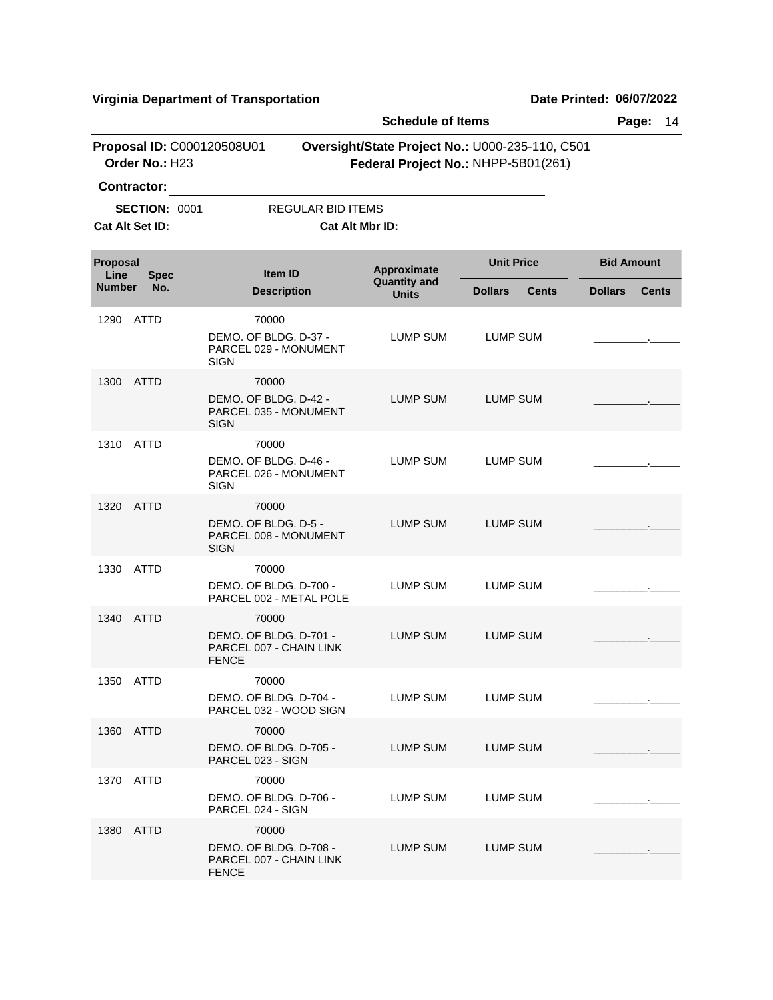|                  |                                                               |                                                                            |                          |                                                                                        | Page:<br>14       |              |                   |              |
|------------------|---------------------------------------------------------------|----------------------------------------------------------------------------|--------------------------|----------------------------------------------------------------------------------------|-------------------|--------------|-------------------|--------------|
|                  | Order No.: H23                                                | Proposal ID: C000120508U01                                                 |                          | Oversight/State Project No.: U000-235-110, C501<br>Federal Project No.: NHPP-5B01(261) |                   |              |                   |              |
|                  | <b>Contractor:</b><br><b>SECTION: 0001</b><br>Cat Alt Set ID: |                                                                            | <b>REGULAR BID ITEMS</b> | Cat Alt Mbr ID:                                                                        |                   |              |                   |              |
| Proposal<br>Line | <b>Spec</b>                                                   | Item ID                                                                    |                          | Approximate                                                                            | <b>Unit Price</b> |              | <b>Bid Amount</b> |              |
| <b>Number</b>    | No.                                                           | <b>Description</b>                                                         |                          | <b>Quantity and</b><br><b>Units</b>                                                    | <b>Dollars</b>    | <b>Cents</b> | <b>Dollars</b>    | <b>Cents</b> |
| 1290             | ATTD                                                          | 70000<br>DEMO. OF BLDG. D-37 -<br>PARCEL 029 - MONUMENT<br><b>SIGN</b>     |                          | LUMP SUM                                                                               | LUMP SUM          |              |                   |              |
| 1300             | ATTD                                                          | 70000<br>DEMO. OF BLDG. D-42 -<br>PARCEL 035 - MONUMENT<br><b>SIGN</b>     |                          | LUMP SUM                                                                               | <b>LUMP SUM</b>   |              |                   |              |
| 1310             | ATTD                                                          | 70000<br>DEMO. OF BLDG. D-46 -<br>PARCEL 026 - MONUMENT<br>SIGN            |                          | LUMP SUM                                                                               | LUMP SUM          |              |                   |              |
| 1320             | ATTD                                                          | 70000<br>DEMO. OF BLDG. D-5 -<br>PARCEL 008 - MONUMENT<br><b>SIGN</b>      |                          | LUMP SUM                                                                               | <b>LUMP SUM</b>   |              |                   |              |
| 1330             | <b>ATTD</b>                                                   | 70000<br>DEMO. OF BLDG. D-700 -<br>PARCEL 002 - METAL POLE                 |                          | LUMP SUM                                                                               | <b>LUMP SUM</b>   |              |                   |              |
| 1340             | ATTD                                                          | 70000<br>DEMO. OF BLDG. D-701 -<br>PARCEL 007 - CHAIN LINK<br><b>FENCE</b> |                          | LUMP SUM                                                                               | LUMP SUM          |              |                   |              |
|                  | 1350 ATTD                                                     | 70000<br>DEMO. OF BLDG. D-704 -<br>PARCEL 032 - WOOD SIGN                  |                          | LUMP SUM                                                                               | LUMP SUM          |              |                   |              |
|                  | 1360 ATTD                                                     | 70000<br>DEMO. OF BLDG. D-705 -<br>PARCEL 023 - SIGN                       |                          | <b>LUMP SUM</b>                                                                        | <b>LUMP SUM</b>   |              |                   |              |
|                  | 1370 ATTD                                                     | 70000<br>DEMO. OF BLDG. D-706 -<br>PARCEL 024 - SIGN                       |                          | LUMP SUM                                                                               | <b>LUMP SUM</b>   |              |                   |              |
|                  | 1380 ATTD                                                     | 70000<br>DEMO. OF BLDG. D-708 -<br>PARCEL 007 - CHAIN LINK<br><b>FENCE</b> |                          | LUMP SUM                                                                               | LUMP SUM          |              |                   |              |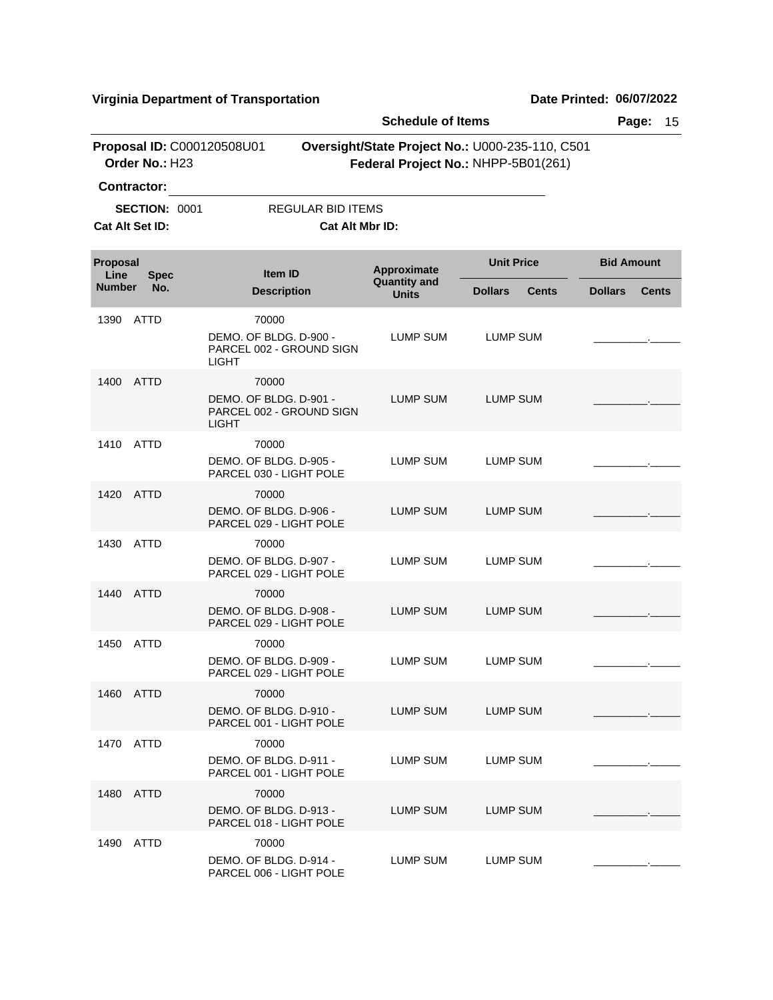|                         |                                              |                                                                             | <b>Schedule of Items</b>                                                               |                                |                   |              |
|-------------------------|----------------------------------------------|-----------------------------------------------------------------------------|----------------------------------------------------------------------------------------|--------------------------------|-------------------|--------------|
|                         | Proposal ID: C000120508U01<br>Order No.: H23 |                                                                             | Oversight/State Project No.: U000-235-110, C501<br>Federal Project No.: NHPP-5B01(261) |                                |                   |              |
|                         | <b>Contractor:</b>                           |                                                                             |                                                                                        |                                |                   |              |
|                         | <b>SECTION: 0001</b>                         | REGULAR BID ITEMS                                                           |                                                                                        |                                |                   |              |
|                         | Cat Alt Set ID:                              | Cat Alt Mbr ID:                                                             |                                                                                        |                                |                   |              |
|                         |                                              |                                                                             |                                                                                        |                                |                   |              |
| <b>Proposal</b><br>Line | <b>Spec</b>                                  | Item ID                                                                     | Approximate<br><b>Quantity and</b><br><b>Units</b>                                     | <b>Unit Price</b>              | <b>Bid Amount</b> |              |
| <b>Number</b>           | No.                                          | <b>Description</b>                                                          |                                                                                        | <b>Dollars</b><br><b>Cents</b> | <b>Dollars</b>    | <b>Cents</b> |
| 1390                    | ATTD                                         | 70000                                                                       |                                                                                        |                                |                   |              |
|                         |                                              | DEMO. OF BLDG. D-900 -<br>PARCEL 002 - GROUND SIGN<br><b>LIGHT</b>          | LUMP SUM                                                                               | LUMP SUM                       |                   |              |
| 1400                    | <b>ATTD</b>                                  | 70000<br>DEMO. OF BLDG. D-901 -<br>PARCEL 002 - GROUND SIGN<br><b>LIGHT</b> | LUMP SUM                                                                               | <b>LUMP SUM</b>                |                   |              |
| 1410                    | <b>ATTD</b>                                  | 70000                                                                       |                                                                                        |                                |                   |              |
|                         |                                              | DEMO. OF BLDG. D-905 -<br>PARCEL 030 - LIGHT POLE                           | LUMP SUM                                                                               | LUMP SUM                       |                   |              |
| 1420                    | ATTD                                         | 70000<br>DEMO. OF BLDG. D-906 -<br>PARCEL 029 - LIGHT POLE                  | <b>LUMP SUM</b>                                                                        | <b>LUMP SUM</b>                |                   |              |
| 1430                    | <b>ATTD</b>                                  | 70000                                                                       |                                                                                        |                                |                   |              |
|                         |                                              | DEMO, OF BLDG, D-907 -<br>PARCEL 029 - LIGHT POLE                           | LUMP SUM                                                                               | LUMP SUM                       |                   |              |
| 1440                    | <b>ATTD</b>                                  | 70000<br>DEMO. OF BLDG. D-908 -<br>PARCEL 029 - LIGHT POLE                  | LUMP SUM                                                                               | <b>LUMP SUM</b>                |                   |              |
| 1450                    | <b>ATTD</b>                                  | 70000<br>DEMO. OF BLDG. D-909 -<br>PARCEL 029 - LIGHT POLE                  | LUMP SUM                                                                               | LUMP SUM                       |                   |              |
|                         | 1460 ATTD                                    | 70000<br>DEMO. OF BLDG. D-910 -<br>PARCEL 001 - LIGHT POLE                  | <b>LUMP SUM</b>                                                                        | <b>LUMP SUM</b>                |                   |              |
| 1470                    | ATTD                                         | 70000<br>DEMO, OF BLDG, D-911 -<br>PARCEL 001 - LIGHT POLE                  | LUMP SUM                                                                               | LUMP SUM                       |                   |              |
| 1480                    | ATTD                                         | 70000<br>DEMO, OF BLDG, D-913 -<br>PARCEL 018 - LIGHT POLE                  | LUMP SUM                                                                               | LUMP SUM                       |                   |              |
| 1490                    | ATTD                                         | 70000<br>DEMO. OF BLDG. D-914 -<br>PARCEL 006 - LIGHT POLE                  | LUMP SUM                                                                               | LUMP SUM                       |                   |              |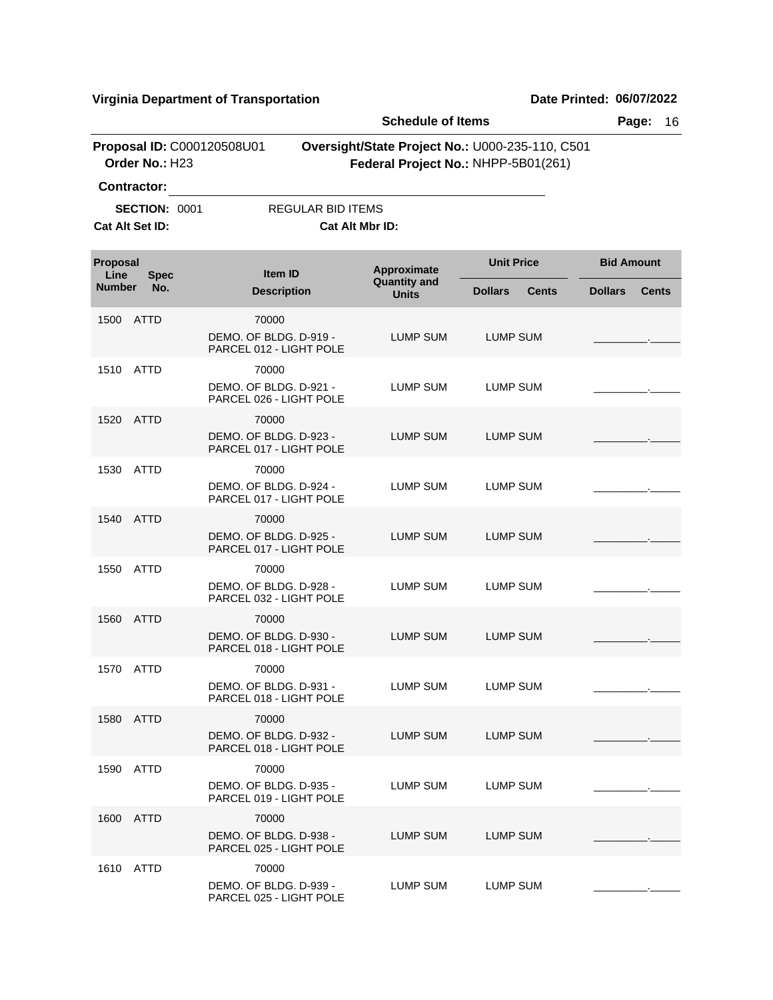|                                              |                      |                                                            | <b>Schedule of Items</b>                                                               |                                    |                   | Page:<br>16  |                   |              |  |
|----------------------------------------------|----------------------|------------------------------------------------------------|----------------------------------------------------------------------------------------|------------------------------------|-------------------|--------------|-------------------|--------------|--|
| Proposal ID: C000120508U01<br>Order No.: H23 |                      |                                                            | Oversight/State Project No.: U000-235-110, C501<br>Federal Project No.: NHPP-5B01(261) |                                    |                   |              |                   |              |  |
|                                              | <b>Contractor:</b>   |                                                            |                                                                                        |                                    |                   |              |                   |              |  |
|                                              | <b>SECTION: 0001</b> |                                                            | <b>REGULAR BID ITEMS</b>                                                               |                                    |                   |              |                   |              |  |
|                                              | Cat Alt Set ID:      |                                                            |                                                                                        | Cat Alt Mbr ID:                    |                   |              |                   |              |  |
| Proposal<br>Line                             | <b>Spec</b>          | Item ID                                                    |                                                                                        | Approximate<br><b>Quantity and</b> | <b>Unit Price</b> |              | <b>Bid Amount</b> |              |  |
| <b>Number</b>                                | No.                  | <b>Description</b>                                         |                                                                                        | <b>Units</b>                       | <b>Dollars</b>    | <b>Cents</b> | <b>Dollars</b>    | <b>Cents</b> |  |
| 1500                                         | <b>ATTD</b>          | 70000<br>DEMO. OF BLDG. D-919 -<br>PARCEL 012 - LIGHT POLE |                                                                                        | LUMP SUM                           | <b>LUMP SUM</b>   |              |                   |              |  |
| 1510 ATTD                                    |                      | 70000<br>DEMO. OF BLDG. D-921 -<br>PARCEL 026 - LIGHT POLE |                                                                                        | LUMP SUM                           | <b>LUMP SUM</b>   |              |                   |              |  |
| 1520                                         | ATTD                 | 70000<br>DEMO. OF BLDG. D-923 -<br>PARCEL 017 - LIGHT POLE |                                                                                        | <b>LUMP SUM</b>                    | <b>LUMP SUM</b>   |              |                   |              |  |
| 1530                                         | <b>ATTD</b>          | 70000<br>DEMO. OF BLDG. D-924 -<br>PARCEL 017 - LIGHT POLE |                                                                                        | <b>LUMP SUM</b>                    | <b>LUMP SUM</b>   |              |                   |              |  |
| 1540 ATTD                                    |                      | 70000<br>DEMO, OF BLDG, D-925 -<br>PARCEL 017 - LIGHT POLE |                                                                                        | LUMP SUM                           | <b>LUMP SUM</b>   |              |                   |              |  |
| 1550                                         | <b>ATTD</b>          | 70000<br>DEMO. OF BLDG. D-928 -<br>PARCEL 032 - LIGHT POLE |                                                                                        | LUMP SUM                           | LUMP SUM          |              |                   |              |  |
| 1560 ATTD                                    |                      | 70000<br>DEMO. OF BLDG. D-930 -<br>PARCEL 018 - LIGHT POLE |                                                                                        | LUMP SUM                           | <b>LUMP SUM</b>   |              |                   |              |  |
| 1570 ATTD                                    |                      | 70000<br>DEMO. OF BLDG. D-931 -<br>PARCEL 018 - LIGHT POLE |                                                                                        | LUMP SUM                           | LUMP SUM          |              |                   |              |  |
|                                              | 1580 ATTD            | 70000<br>DEMO. OF BLDG. D-932 -<br>PARCEL 018 - LIGHT POLE |                                                                                        | <b>LUMP SUM</b>                    | <b>LUMP SUM</b>   |              |                   |              |  |
|                                              | 1590 ATTD            | 70000<br>DEMO. OF BLDG. D-935 -<br>PARCEL 019 - LIGHT POLE |                                                                                        | LUMP SUM                           | LUMP SUM          |              |                   |              |  |
|                                              | 1600 ATTD            | 70000<br>DEMO, OF BLDG, D-938 -<br>PARCEL 025 - LIGHT POLE |                                                                                        | <b>LUMP SUM</b>                    | <b>LUMP SUM</b>   |              |                   |              |  |
| 1610 ATTD                                    |                      | 70000<br>DEMO. OF BLDG. D-939 -<br>PARCEL 025 - LIGHT POLE |                                                                                        | LUMP SUM                           | LUMP SUM          |              |                   |              |  |